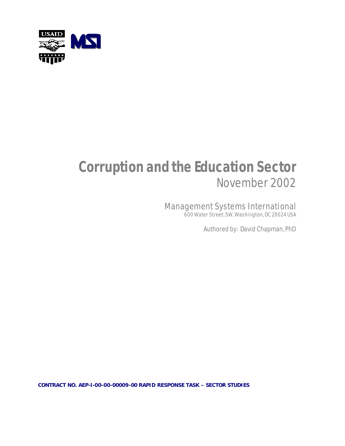

# **Corruption and the Education Sector**  November 2002

Management Systems International 600 Water Street, SW, Washington, DC 20024 USA

Authored by: David Chapman, PhD

**CONTRACT NO. AEP-I-00-00-00009-00 RAPID RESPONSE TASK – SECTOR STUDIES**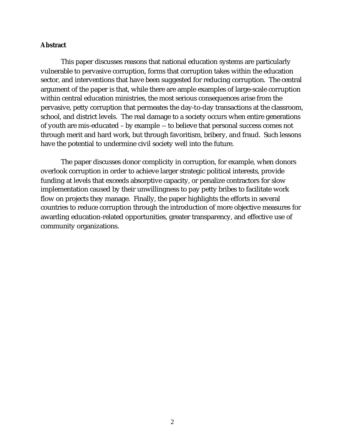## **Abstract**

This paper discusses reasons that national education systems are particularly vulnerable to pervasive corruption, forms that corruption takes within the education sector, and interventions that have been suggested for reducing corruption. The central argument of the paper is that, while there are ample examples of large-scale corruption within central education ministries, the most serious consequences arise from the pervasive, petty corruption that permeates the day-to-day transactions at the classroom, school, and district levels. The real damage to a society occurs when entire generations of youth are mis-educated – by example -- to believe that personal success comes not through merit and hard work, but through favoritism, bribery, and fraud. Such lessons have the potential to undermine civil society well into the future.

The paper discusses donor complicity in corruption, for example, when donors overlook corruption in order to achieve larger strategic political interests, provide funding at levels that exceeds absorptive capacity, or penalize contractors for slow implementation caused by their unwillingness to pay petty bribes to facilitate work flow on projects they manage. Finally, the paper highlights the efforts in several countries to reduce corruption through the introduction of more objective measures for awarding education-related opportunities, greater transparency, and effective use of community organizations.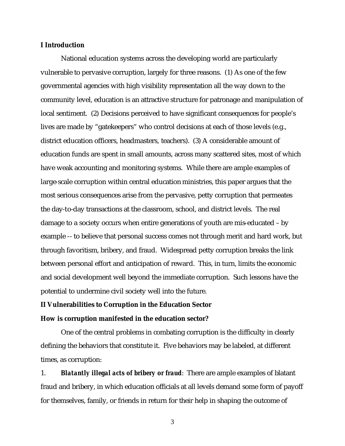## **I Introduction**

National education systems across the developing world are particularly vulnerable to pervasive corruption, largely for three reasons. (1) As one of the few governmental agencies with high visibility representation all the way down to the community level, education is an attractive structure for patronage and manipulation of local sentiment. (2) Decisions perceived to have significant consequences for people's lives are made by "gatekeepers" who control decisions at each of those levels (e.g., district education officers, headmasters, teachers). (3) A considerable amount of education funds are spent in small amounts, across many scattered sites, most of which have weak accounting and monitoring systems. While there are ample examples of large-scale corruption within central education ministries, this paper argues that the most serious consequences arise from the pervasive, petty corruption that permeates the day-to-day transactions at the classroom, school, and district levels. The real damage to a society occurs when entire generations of youth are mis-educated – by example -- to believe that personal success comes not through merit and hard work, but through favoritism, bribery, and fraud. Widespread petty corruption breaks the link between personal effort and anticipation of reward. This, in turn, limits the economic and social development well beyond the immediate corruption. Such lessons have the potential to undermine civil society well into the future.

#### **II Vulnerabilities to Corruption in the Education Sector**

#### **How is corruption manifested in the education sector?**

One of the central problems in combating corruption is the difficulty in clearly defining the behaviors that constitute it. Five behaviors may be labeled, at different times, as corruption:

1. *Blatantly illegal acts of bribery or fraud*: There are ample examples of blatant fraud and bribery, in which education officials at all levels demand some form of payoff for themselves, family, or friends in return for their help in shaping the outcome of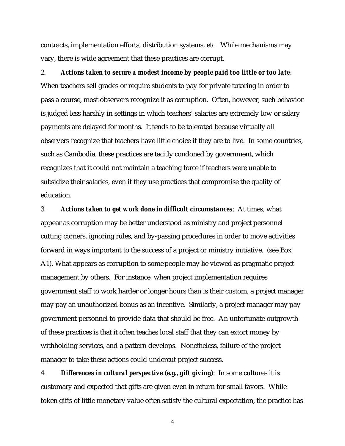contracts, implementation efforts, distribution systems, etc. While mechanisms may vary, there is wide agreement that these practices are corrupt.

2. *Actions taken to secure a modest income by people paid too little or too late*: When teachers sell grades or require students to pay for private tutoring in order to pass a course, most observers recognize it as corruption. Often, however, such behavior is judged less harshly in settings in which teachers' salaries are extremely low or salary payments are delayed for months. It tends to be tolerated because virtually all observers recognize that teachers have little choice if they are to live. In some countries, such as Cambodia, these practices are tacitly condoned by government, which recognizes that it could not maintain a teaching force if teachers were unable to subsidize their salaries, even if they use practices that compromise the quality of education.

3. *Actions taken to get work done in difficult circumstances*: At times, what appear as corruption may be better understood as ministry and project personnel cutting corners, ignoring rules, and by-passing procedures in order to move activities forward in ways important to the success of a project or ministry initiative. (see Box A1). What appears as corruption to some people may be viewed as pragmatic project management by others. For instance, when project implementation requires government staff to work harder or longer hours than is their custom, a project manager may pay an unauthorized bonus as an incentive. Similarly, a project manager may pay government personnel to provide data that should be free. An unfortunate outgrowth of these practices is that it often teaches local staff that they can extort money by withholding services, and a pattern develops. Nonetheless, failure of the project manager to take these actions could undercut project success.

4. *Differences in cultural perspective (e.g., gift giving***)**: In some cultures it is customary and expected that gifts are given even in return for small favors. While token gifts of little monetary value often satisfy the cultural expectation, the practice has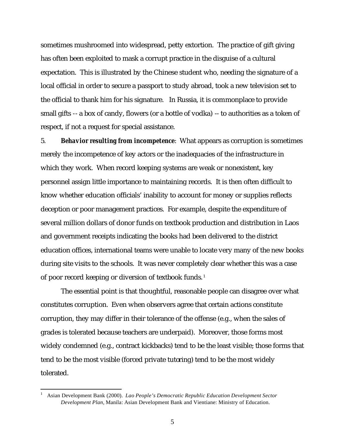sometimes mushroomed into widespread, petty extortion. The practice of gift giving has often been exploited to mask a corrupt practice in the disguise of a cultural expectation. This is illustrated by the Chinese student who, needing the signature of a local official in order to secure a passport to study abroad, took a new television set to the official to thank him for his signature. In Russia, it is commonplace to provide small gifts -- a box of candy, flowers (or a bottle of vodka) -- to authorities as a token of respect, if not a request for special assistance.

5. *Behavior resulting from incompetence*: What appears as corruption is sometimes merely the incompetence of key actors or the inadequacies of the infrastructure in which they work. When record keeping systems are weak or nonexistent, key personnel assign little importance to maintaining records. It is then often difficult to know whether education officials' inability to account for money or supplies reflects deception or poor management practices. For example, despite the expenditure of several million dollars of donor funds on textbook production and distribution in Laos and government receipts indicating the books had been delivered to the district education offices, international teams were unable to locate very many of the new books during site visits to the schools. It was never completely clear whether this was a case of poor record keeping or diversion of textbook funds. <sup>1</sup>

The essential point is that thoughtful, reasonable people can disagree over what constitutes corruption. Even when observers agree that certain actions constitute corruption, they may differ in their tolerance of the offense (e.g., when the sales of grades is tolerated because teachers are underpaid). Moreover, those forms most widely condemned (e.g., contract kickbacks) tend to be the least visible; those forms that tend to be the most visible (forced private tutoring) tend to be the most widely tolerated.

<sup>1</sup> Asian Development Bank (2000). *Lao People's Democratic Republic Education Development Sector Development Plan*, Manila: Asian Development Bank and Vientiane: Ministry of Education.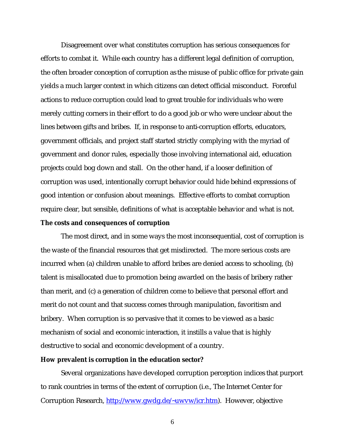Disagreement over what constitutes corruption has serious consequences for efforts to combat it. While each country has a different legal definition of corruption, the often broader conception of corruption as the misuse of public office for private gain yields a much larger context in which citizens can detect official misconduct. Forceful actions to reduce corruption could lead to great trouble for individuals who were merely cutting corners in their effort to do a good job or who were unclear about the lines between gifts and bribes. If, in response to anti-corruption efforts, educators, government officials, and project staff started strictly complying with the myriad of government and donor rules, especially those involving international aid, education projects could bog down and stall. On the other hand, if a looser definition of corruption was used, intentionally corrupt behavior could hide behind expressions of good intention or confusion about meanings. Effective efforts to combat corruption require clear, but sensible, definitions of what is acceptable behavior and what is not.

#### **The costs and consequences of corruption**

The most direct, and in some ways the most inconsequential, cost of corruption is the waste of the financial resources that get misdirected. The more serious costs are incurred when (a) children unable to afford bribes are denied access to schooling, (b) talent is misallocated due to promotion being awarded on the basis of bribery rather than merit, and (c) a generation of children come to believe that personal effort and merit do not count and that success comes through manipulation, favoritism and bribery. When corruption is so pervasive that it comes to be viewed as a basic mechanism of social and economic interaction, it instills a value that is highly destructive to social and economic development of a country.

#### **How prevalent is corruption in the education sector?**

Several organizations have developed corruption perception indices that purport to rank countries in terms of the extent of corruption (i.e., The Internet Center for Corruption Research, http://www.gwdg.de/~uwvw/icr.htm). However, objective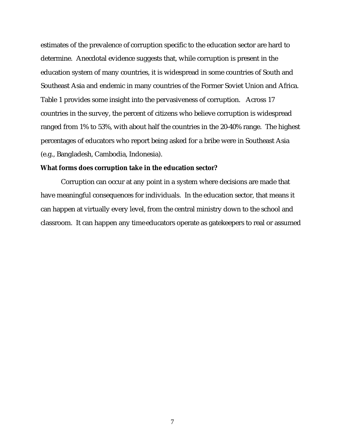estimates of the prevalence of corruption specific to the education sector are hard to determine. Anecdotal evidence suggests that, while corruption is present in the education system of many countries, it is widespread in some countries of South and Southeast Asia and endemic in many countries of the Former Soviet Union and Africa. Table 1 provides some insight into the pervasiveness of corruption. Across 17 countries in the survey, the percent of citizens who believe corruption is widespread ranged from 1% to 53%, with about half the countries in the 20-40% range. The highest percentages of educators who report being asked for a bribe were in Southeast Asia (e.g., Bangladesh, Cambodia, Indonesia).

#### **What forms does corruption take in the education sector?**

Corruption can occur at any point in a system where decisions are made that have meaningful consequences for individuals. In the education sector, that means it can happen at virtually every level, from the central ministry down to the school and classroom. It can happen any time educators operate as gatekeepers to real or assumed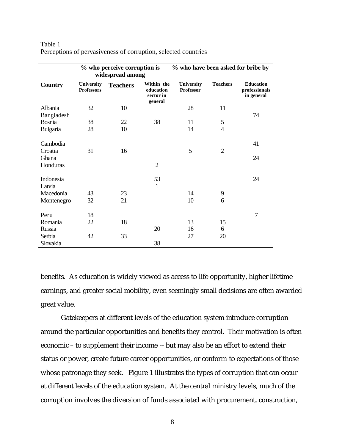|                | % who perceive corruption is<br>widespread among |                 |                                                 | % who have been asked for bribe by |                 |                                                 |
|----------------|--------------------------------------------------|-----------------|-------------------------------------------------|------------------------------------|-----------------|-------------------------------------------------|
| <b>Country</b> | University<br><b>Professors</b>                  | <b>Teachers</b> | Within the<br>education<br>sector in<br>general | University<br><b>Professor</b>     | <b>Teachers</b> | <b>Education</b><br>professionals<br>in general |
| Albania        | 32                                               | 10              |                                                 | 28                                 | 11              |                                                 |
| Bangladesh     |                                                  |                 |                                                 |                                    |                 | 74                                              |
| Bosnia         | 38                                               | 22              | 38                                              | 11                                 | 5               |                                                 |
| Bulgaria       | 28                                               | 10              |                                                 | 14                                 | $\overline{4}$  |                                                 |
|                |                                                  |                 |                                                 |                                    |                 |                                                 |
| Cambodia       |                                                  |                 |                                                 |                                    |                 | 41                                              |
| Croatia        | 31                                               | 16              |                                                 | 5                                  | $\overline{2}$  |                                                 |
| Ghana          |                                                  |                 |                                                 |                                    |                 | 24                                              |
| Honduras       |                                                  |                 | $\overline{2}$                                  |                                    |                 |                                                 |
|                |                                                  |                 |                                                 |                                    |                 |                                                 |
| Indonesia      |                                                  |                 | 53                                              |                                    |                 | 24                                              |
| Latvia         |                                                  |                 | $\mathbf{1}$                                    |                                    |                 |                                                 |
| Macedonia      | 43                                               | 23              |                                                 | 14                                 | 9               |                                                 |
| Montenegro     | 32                                               | 21              |                                                 | 10                                 | 6               |                                                 |
| Peru           | 18                                               |                 |                                                 |                                    |                 | 7                                               |
| Romania        | 22                                               | 18              |                                                 | 13                                 | 15              |                                                 |
| Russia         |                                                  |                 | 20                                              | 16                                 | 6               |                                                 |
| Serbia         | 42                                               | 33              |                                                 | 27                                 | 20              |                                                 |
| Slovakia       |                                                  |                 | 38                                              |                                    |                 |                                                 |

Table 1 Perceptions of pervasiveness of corruption, selected countries

benefits. As education is widely viewed as access to life opportunity, higher lifetime earnings, and greater social mobility, even seemingly small decisions are often awarded great value.

Gatekeepers at different levels of the education system introduce corruption around the particular opportunities and benefits they control. Their motivation is often economic – to supplement their income -- but may also be an effort to extend their status or power, create future career opportunities, or conform to expectations of those whose patronage they seek. Figure 1 illustrates the types of corruption that can occur at different levels of the education system. At the central ministry levels, much of the corruption involves the diversion of funds associated with procurement, construction,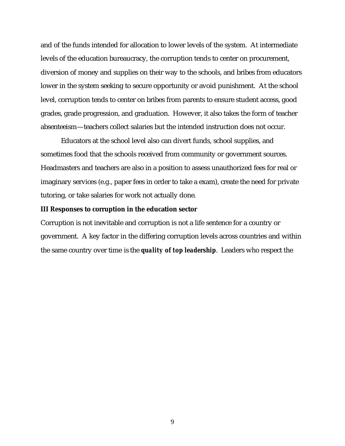and of the funds intended for allocation to lower levels of the system. At intermediate levels of the education bureaucracy, the corruption tends to center on procurement, diversion of money and supplies on their way to the schools, and bribes from educators lower in the system seeking to secure opportunity or avoid punishment. At the school level, corruption tends to center on bribes from parents to ensure student access, good grades, grade progression, and graduation. However, it also takes the form of teacher absenteeism—teachers collect salaries but the intended instruction does not occur.

Educators at the school level also can divert funds, school supplies, and sometimes food that the schools received from community or government sources. Headmasters and teachers are also in a position to assess unauthorized fees for real or imaginary services (e.g., paper fees in order to take a exam), create the need for private tutoring, or take salaries for work not actually done.

#### **III Responses to corruption in the education sector**

Corruption is not inevitable and corruption is not a life sentence for a country or government. A key factor in the differing corruption levels across countries and within the same country over time is the *quality of top leadership*. Leaders who respect the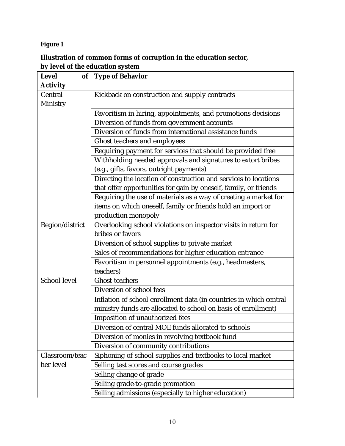# **Figure 1**

# **Illustration of common forms of corruption in the education sector, by level of the education system**

| <b>Level</b><br>of  | <b>Type of Behavior</b>                                            |  |  |  |
|---------------------|--------------------------------------------------------------------|--|--|--|
| <b>Activity</b>     |                                                                    |  |  |  |
| Central             | Kickback on construction and supply contracts                      |  |  |  |
| Ministry            |                                                                    |  |  |  |
|                     | Favoritism in hiring, appointments, and promotions decisions       |  |  |  |
|                     | Diversion of funds from government accounts                        |  |  |  |
|                     | Diversion of funds from international assistance funds             |  |  |  |
|                     | Ghost teachers and employees                                       |  |  |  |
|                     | Requiring payment for services that should be provided free        |  |  |  |
|                     | Withholding needed approvals and signatures to extort bribes       |  |  |  |
|                     | (e.g., gifts, favors, outright payments)                           |  |  |  |
|                     | Directing the location of construction and services to locations   |  |  |  |
|                     | that offer opportunities for gain by oneself, family, or friends   |  |  |  |
|                     | Requiring the use of materials as a way of creating a market for   |  |  |  |
|                     | items on which oneself, family or friends hold an import or        |  |  |  |
|                     | production monopoly                                                |  |  |  |
| Region/district     | Overlooking school violations on inspector visits in return for    |  |  |  |
|                     | bribes or favors                                                   |  |  |  |
|                     | Diversion of school supplies to private market                     |  |  |  |
|                     | Sales of recommendations for higher education entrance             |  |  |  |
|                     | Favoritism in personnel appointments (e.g., headmasters,           |  |  |  |
|                     | teachers)                                                          |  |  |  |
| <b>School level</b> | <b>Ghost teachers</b>                                              |  |  |  |
|                     | Diversion of school fees                                           |  |  |  |
|                     | Inflation of school enrollment data (in countries in which central |  |  |  |
|                     | ministry funds are allocated to school on basis of enrollment)     |  |  |  |
|                     | Imposition of unauthorized fees                                    |  |  |  |
|                     | Diversion of central MOE funds allocated to schools                |  |  |  |
|                     | Diversion of monies in revolving textbook fund                     |  |  |  |
|                     | Diversion of community contributions                               |  |  |  |
| Classroom/teac      | Siphoning of school supplies and textbooks to local market         |  |  |  |
| her level           | Selling test scores and course grades                              |  |  |  |
|                     | Selling change of grade                                            |  |  |  |
|                     | Selling grade-to-grade promotion                                   |  |  |  |
|                     | Selling admissions (especially to higher education)                |  |  |  |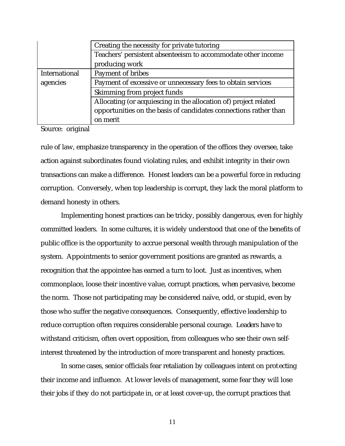|               | Creating the necessity for private tutoring                      |  |  |
|---------------|------------------------------------------------------------------|--|--|
|               | Teachers' persistent absenteeism to accommodate other income     |  |  |
|               | producing work                                                   |  |  |
| International | Payment of bribes                                                |  |  |
| agencies      | Payment of excessive or unnecessary fees to obtain services      |  |  |
|               | Skimming from project funds                                      |  |  |
|               | Allocating (or acquiescing in the allocation of) project related |  |  |
|               | opportunities on the basis of candidates connections rather than |  |  |
|               | on merit                                                         |  |  |

Source: original

rule of law, emphasize transparency in the operation of the offices they oversee, take action against subordinates found violating rules, and exhibit integrity in their own transactions can make a difference. Honest leaders can be a powerful force in reducing corruption. Conversely, when top leadership is corrupt, they lack the moral platform to demand honesty in others.

Implementing honest practices can be tricky, possibly dangerous, even for highly committed leaders. In some cultures, it is widely understood that one of the benefits of public office is the opportunity to accrue personal wealth through manipulation of the system. Appointments to senior government positions are granted as rewards, a recognition that the appointee has earned a turn to loot. Just as incentives, when commonplace, loose their incentive value, corrupt practices, when pervasive, become the norm. Those not participating may be considered naïve, odd, or stupid, even by those who suffer the negative consequences. Consequently, effective leadership to reduce corruption often requires considerable personal courage. Leaders have to withstand criticism, often overt opposition, from colleagues who see their own selfinterest threatened by the introduction of more transparent and honesty practices.

In some cases, senior officials fear retaliation by colleagues intent on protecting their income and influence. At lower levels of management, some fear they will lose their jobs if they do not participate in, or at least cover-up, the corrupt practices that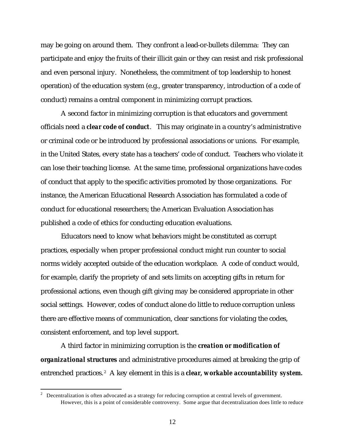may be going on around them. They confront a lead-or-bullets dilemma: They can participate and enjoy the fruits of their illicit gain or they can resist and risk professional and even personal injury. Nonetheless, the commitment of top leadership to honest operation) of the education system (e.g., greater transparency, introduction of a code of conduct) remains a central component in minimizing corrupt practices.

A second factor in minimizing corruption is that educators and government officials need a *clear code of conduct*. This may originate in a country's administrative or criminal code or be introduced by professional associations or unions. For example, in the United States, every state has a teachers' code of conduct. Teachers who violate it can lose their teaching license. At the same time, professional organizations have codes of conduct that apply to the specific activities promoted by those organizations. For instance, the American Educational Research Association has formulated a code of conduct for educational researchers; the American Evaluation Association has published a code of ethics for conducting education evaluations.

Educators need to know what behaviors might be constituted as corrupt practices, especially when proper professional conduct might run counter to social norms widely accepted outside of the education workplace. A code of conduct would, for example, clarify the propriety of and sets limits on accepting gifts in return for professional actions, even though gift giving may be considered appropriate in other social settings. However, codes of conduct alone do little to reduce corruption unless there are effective means of communication, clear sanctions for violating the codes, consistent enforcement, and top level support.

A third factor in minimizing corruption is the *creation or modification of organizational structures* and administrative procedures aimed at breaking the grip of entrenched practices.<sup>2</sup> A key element in this is a *clear, workable accountability system.* 

<sup>&</sup>lt;sup>2</sup> Decentralization is often advocated as a strategy for reducing corruption at central levels of government. However, this is a point of considerable controversy. Some argue that decentralization does little to reduce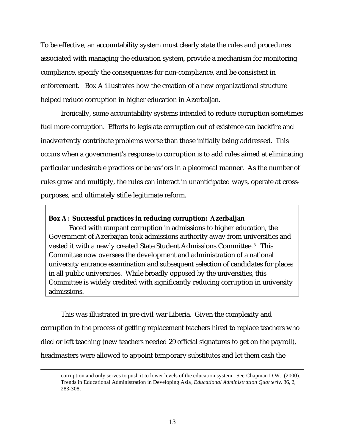To be effective, an accountability system must clearly state the rules and procedures associated with managing the education system, provide a mechanism for monitoring compliance, specify the consequences for non-compliance, and be consistent in enforcement. Box A illustrates how the creation of a new organizational structure helped reduce corruption in higher education in Azerbaijan.

Ironically, some accountability systems intended to reduce corruption sometimes fuel more corruption. Efforts to legislate corruption out of existence can backfire and inadvertently contribute problems worse than those initially being addressed. This occurs when a government's response to corruption is to add rules aimed at eliminating particular undesirable practices or behaviors in a piecemeal manner. As the number of rules grow and multiply, the rules can interact in unanticipated ways, operate at crosspurposes, and ultimately stifle legitimate reform.

#### **Box A: Successful practices in reducing corruption: Azerbaijan**

 $\overline{a}$ 

Faced with rampant corruption in admissions to higher education, the Government of Azerbaijan took admissions authority away from universities and vested it with a newly created State Student Admissions Committee. <sup>3</sup> This Committee now oversees the development and administration of a national university entrance examination and subsequent selection of candidates for places in all public universities. While broadly opposed by the universities, this Committee is widely credited with significantly reducing corruption in university admissions.

This was illustrated in pre-civil war Liberia. Given the complexity and corruption in the process of getting replacement teachers hired to replace teachers who died or left teaching (new teachers needed 29 official signatures to get on the payroll), headmasters were allowed to appoint temporary substitutes and let them cash the

corruption and only serves to push it to lower levels of the education system. See Chapman D.W., (2000). Trends in Educational Administration in Developing Asia*, Educational Administration Quarterly*. 36, 2, 283-308.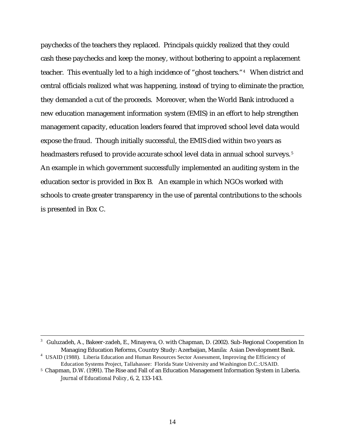paychecks of the teachers they replaced. Principals quickly realized that they could cash these paychecks and keep the money, without bothering to appoint a replacement teacher. This eventually led to a high incidence of "ghost teachers."<sup>4</sup> When district and central officials realized what was happening, instead of trying to eliminate the practice, they demanded a cut of the proceeds. Moreover, when the World Bank introduced a new education management information system (EMIS) in an effort to help strengthen management capacity, education leaders feared that improved school level data would expose the fraud. Though initially successful, the EMIS died within two years as headmasters refused to provide accurate school level data in annual school surveys. <sup>5</sup> An example in which government successfully implemented an auditing system in the education sector is provided in Box B. An example in which NGOs worked with schools to create greater transparency in the use of parental contributions to the schools is presented in Box C.

 3 Guluzadeh, A., Bakeer-zadeh, E., Minayeva, O. with Chapman, D. (2002). Sub-Regional Cooperation In Managing Education Reforms, Country Study: Azerbaijan, Manila: Asian Development Bank.

<sup>&</sup>lt;sup>4</sup> USAID (1988). Liberia Education and Human Resources Sector Assessment, Improving the Efficiency of Education Systems Project, Tallahassee: Florida State University and Washington D.C.:USAID.

<sup>5</sup> Chapman, D.W. (1991). The Rise and Fall of an Education Management Information System in Liberia. *Journal of Educational Policy*, 6, 2, 133-143.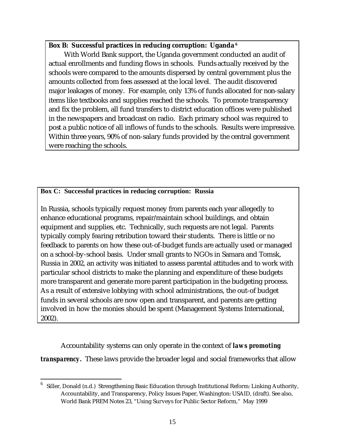# **Box B: Successful practices in reducing corruption: Uganda <sup>6</sup>**

 With World Bank support, the Uganda government conducted an audit of actual enrollments and funding flows in schools. Funds actually received by the schools were compared to the amounts dispersed by central government plus the amounts collected from fees assessed at the local level. The audit discovered major leakages of money. For example, only 13% of funds allocated for non-salary items like textbooks and supplies reached the schools. To promote transparency and fix the problem, all fund transfers to district education offices were published in the newspapers and broadcast on radio. Each primary school was required to post a public notice of all inflows of funds to the schools. Results were impressive. Within three years, 90% of non-salary funds provided by the central government were reaching the schools.

# **Box C: Successful practices in reducing corruption: Russia**

 $\overline{a}$ 

In Russia, schools typically request money from parents each year allegedly to enhance educational programs, repair/maintain school buildings, and obtain equipment and supplies, etc. Technically, such requests are not legal. Parents typically comply fearing retribution toward their students. There is little or no feedback to parents on how these out-of-budget funds are actually used or managed on a school-by-school basis. Under small grants to NGOs in Samara and Tomsk, Russia in 2002, an activity was initiated to assess parental attitudes and to work with particular school districts to make the planning and expenditure of these budgets more transparent and generate more parent participation in the budgeting process. As a result of extensive lobbying with school administrations, the out-of budget funds in several schools are now open and transparent, and parents are getting involved in how the monies should be spent (Management Systems International, 2002).

# Accountability systems can only operate in the context of *laws promoting*

*transparency.* These laws provide the broader legal and social frameworks that allow

<sup>6</sup> Siller, Donald (n.d.) Strengthening Basic Education through Institutional Reform: Linking Authority, Accountability, and Transparency, Policy Issues Paper, Washington: USAID, (draft). See also, World Bank PREM Notes 23, "Using Surveys for Public Sector Reform," May 1999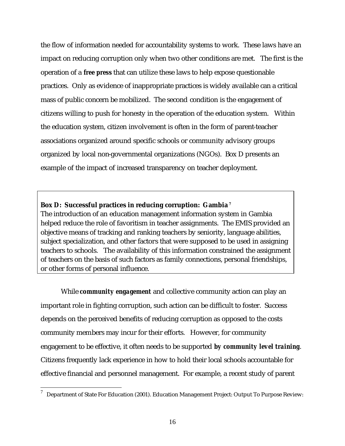the flow of information needed for accountability systems to work. These laws have an impact on reducing corruption only when two other conditions are met. The first is the operation of a *free press* that can utilize these laws to help expose questionable practices. Only as evidence of inappropriate practices is widely available can a critical mass of public concern be mobilized. The second condition is the engagement of citizens willing to push for honesty in the operation of the education system. Within the education system, citizen involvement is often in the form of parent-teacher associations organized around specific schools or community advisory groups organized by local non-governmental organizations (NGOs). Box D presents an example of the impact of increased transparency on teacher deployment.

#### **Box D: Successful practices in reducing corruption: Gambia <sup>7</sup>**

 $\overline{a}$ 

The introduction of an education management information system in Gambia helped reduce the role of favoritism in teacher assignments. The EMIS provided an objective means of tracking and ranking teachers by seniority, language abilities, subject specialization, and other factors that were supposed to be used in assigning teachers to schools. The availability of this information constrained the assignment of teachers on the basis of such factors as family connections, personal friendships, or other forms of personal influence.

While *community engagement* and collective community action can play an important role in fighting corruption, such action can be difficult to foster. Success depends on the perceived benefits of reducing corruption as opposed to the costs community members may incur for their efforts. However, for community engagement to be effective, it often needs to be supported *by community level training*. Citizens frequently lack experience in how to hold their local schools accountable for effective financial and personnel management. For example, a recent study of parent

<sup>7</sup> Department of State For Education (2001). Education Management Project: Output To Purpose Review: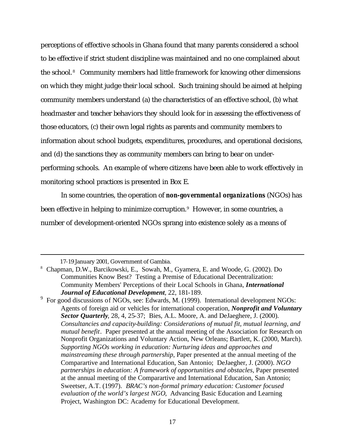perceptions of effective schools in Ghana found that many parents considered a school to be effective if strict student discipline was maintained and no one complained about the school. <sup>8</sup> Community members had little framework for knowing other dimensions on which they might judge their local school. Such training should be aimed at helping community members understand (a) the characteristics of an effective school, (b) what headmaster and teacher behaviors they should look for in assessing the effectiveness of those educators, (c) their own legal rights as parents and community members to information about school budgets, expenditures, procedures, and operational decisions, and (d) the sanctions they as community members can bring to bear on underperforming schools. An example of where citizens have been able to work effectively in monitoring school practices is presented in Box E.

In some countries, the operation of *non-governmental organizations* (NGOs) has been effective in helping to minimize corruption.<sup>9</sup> However, in some countries, a number of development-oriented NGOs sprang into existence solely as a means of

17-19 January 2001, Government of Gambia.

<sup>8</sup> Chapman, D.W., Barcikowski, E., Sowah, M., Gyamera, E. and Woode, G. (2002). Do Communities Know Best? Testing a Premise of Educational Decentralization: Community Members' Perceptions of their Local Schools in Ghana, *International Journal of Educational Development,* 22, 181-189.

<sup>&</sup>lt;sup>9</sup> For good discussions of NGOs, see: Edwards, M. (1999). International development NGOs: Agents of foreign aid or vehicles for international cooperation, *Nonprofit and Voluntary Sector Quarterly*, 28, 4, 25-37; Bies, A.L. Moore, A. and DeJaeghere, J. (2000). *Consultancies and capacity-building: Considerations of mutual fit, mutual learning, and mutual benefit*. Paper presented at the annual meeting of the Association for Research on Nonprofit Organizations and Voluntary Action, New Orleans; Bartlett, K. (2000, March). *Supporting NGOs working in education: Nurturing ideas and approaches and mainstreaming these through partnership*, Paper presented at the annual meeting of the Comparartive and International Education, San Antonio; DeJaegher, J. (2000). *NGO partnerships in education: A framework of opportunities and obstacles*, Paper presented at the annual meeting of the Comparartive and International Education, San Antonio; Sweetser, A.T. (1997). *BRAC's non-formal primary education: Customer focused evaluation of the world's largest NGO*, Advancing Basic Education and Learning Project, Washington DC: Academy for Educational Development.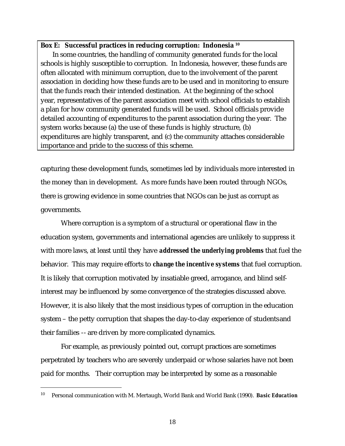#### **Box E: Successful practices in reducing corruption: Indonesia <sup>10</sup>**

 In some countries, the handling of community generated funds for the local schools is highly susceptible to corruption. In Indonesia, however, these funds are often allocated with minimum corruption, due to the involvement of the parent association in deciding how these funds are to be used and in monitoring to ensure that the funds reach their intended destination. At the beginning of the school year, representatives of the parent association meet with school officials to establish a plan for how community generated funds will be used. School officials provide detailed accounting of expenditures to the parent association during the year. The system works because (a) the use of these funds is highly structure, (b) expenditures are highly transparent, and (c) the community attaches considerable importance and pride to the success of this scheme.

capturing these development funds, sometimes led by individuals more interested in the money than in development. As more funds have been routed through NGOs, there is growing evidence in some countries that NGOs can be just as corrupt as governments.

Where corruption is a symptom of a structural or operational flaw in the education system, governments and international agencies are unlikely to suppress it with more laws, at least until they have *addressed the underlying problems* that fuel the behavior. This may require efforts to *change the incentive systems* that fuel corruption. It is likely that corruption motivated by insatiable greed, arrogance, and blind selfinterest may be influenced by some convergence of the strategies discussed above. However, it is also likely that the most insidious types of corruption in the education system – the petty corruption that shapes the day-to-day experience of students and their families -- are driven by more complicated dynamics.

For example, as previously pointed out, corrupt practices are sometimes perpetrated by teachers who are severely underpaid or whose salaries have not been paid for months. Their corruption may be interpreted by some as a reasonable

<sup>10</sup> Personal communication with M. Mertaugh, World Bank and World Bank (1990). *Basic Education*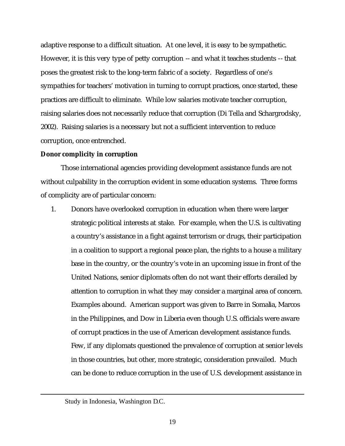adaptive response to a difficult situation. At one level, it is easy to be sympathetic. However, it is this very type of petty corruption -- and what it teaches students -- that poses the greatest risk to the long-term fabric of a society. Regardless of one's sympathies for teachers' motivation in turning to corrupt practices, once started, these practices are difficult to eliminate. While low salaries motivate teacher corruption, raising salaries does not nec essarily reduce that corruption (Di Tella and Schargrodsky, 2002). Raising salaries is a necessary but not a sufficient intervention to reduce corruption, once entrenched.

#### **Donor complicity in corruption**

Those international agencies providing development assistance funds are not without culpability in the corruption evident in some education systems. Three forms of complicity are of particular concern:

1. Donors have overlooked corruption in education when there were larger strategic political interests at stake. For example, when the U.S. is cultivating a country's assistance in a fight against terrorism or drugs, their participation in a coalition to support a regional peace plan, the rights to a house a military base in the country, or the country's vote in an upcoming issue in front of the United Nations, senior diplomats often do not want their efforts derailed by attention to corruption in what they may consider a marginal area of concern. Examples abound. American support was given to Barre in Somalia, Marcos in the Philippines, and Dow in Liberia even though U.S. officials were aware of corrupt practices in the use of American development assistance funds. Few, if any diplomats questioned the prevalence of corruption at senior levels in those countries, but other, more strategic, consideration prevailed. Much can be done to reduce corruption in the use of U.S. development assistance in

Study in Indonesia, Washington D.C.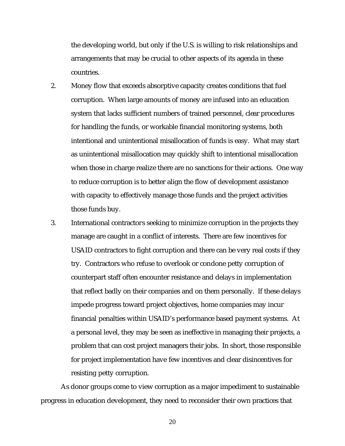the developing world, but only if the U.S. is willing to risk relationships and arrangements that may be crucial to other aspects of its agenda in these countries.

- 2. Money flow that exceeds absorptive capacity creates conditions that fuel corruption. When large amounts of money are infused into an education system that lacks sufficient numbers of trained personnel, clear procedures for handling the funds, or workable financial monitoring systems, both intentional and unintentional misallocation of funds is easy. What may start as unintentional misallocation may quickly shift to intentional misallocation when those in charge realize there are no sanctions for their actions. One way to reduce corruption is to better align the flow of development assistance with capacity to effectively manage those funds and the project activities those funds buy.
- 3. International contractors seeking to minimize corruption in the projects they manage are caught in a conflict of interests. There are few incentives for USAID contractors to fight corruption and there can be very real costs if they try. Contractors who refuse to overlook or condone petty corruption of counterpart staff often encounter resistance and delays in implementation that reflect badly on their companies and on them personally. If these delays impede progress toward project objectives, home companies may incur financial penalties within USAID's performance based payment systems. At a personal level, they may be seen as ineffective in managing their projects, a problem that can cost project managers their jobs. In short, those responsible for project implementation have few incentives and clear disincentives for resisting petty corruption.

As donor groups come to view corruption as a major impediment to sustainable progress in education development, they need to reconsider their own practices that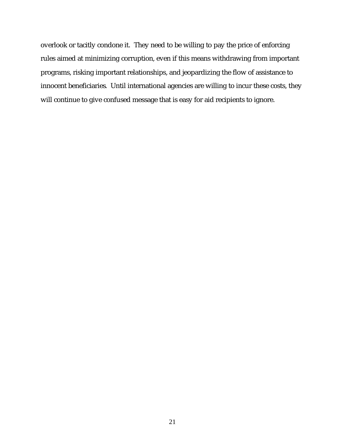overlook or tacitly condone it. They need to be willing to pay the price of enforcing rules aimed at minimizing corruption, even if this means withdrawing from important programs, risking important relationships, and jeopardizing the flow of assistance to innocent beneficiaries. Until international agencies are willing to incur these costs, they will continue to give confused message that is easy for aid recipients to ignore.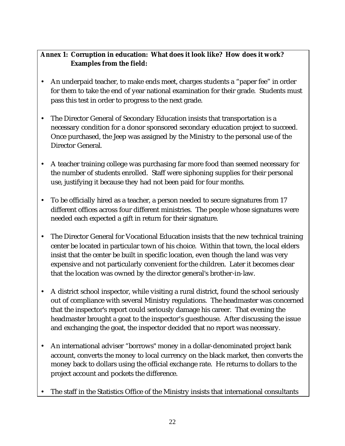# **Annex 1: Corruption in education: What does it look like? How does it work? Examples from the field:**

- An underpaid teacher, to make ends meet, charges students a "paper fee" in order for them to take the end of year national examination for their grade. Students must pass this test in order to progress to the next grade.
- The Director General of Secondary Education insists that transportation is a necessary condition for a donor sponsored secondary education project to succeed. Once purchased, the Jeep was assigned by the Ministry to the personal use of the Director General.
- A teacher training college was purchasing far more food than seemed necessary for the number of students enrolled. Staff were siphoning supplies for their personal use, justifying it because they had not been paid for four months.
- To be officially hired as a teacher, a person needed to secure signatures from 17 different offices across four different ministries. The people whose signatures were needed each expected a gift in return for their signature.
- The Director General for Vocational Education insists that the new technical training center be located in particular town of his choice. Within that town, the local elders insist that the center be built in specific location, even though the land was very expensive and not particularly convenient for the children. Later it becomes clear that the location was owned by the director general's brother-in-law.
- A district school inspector, while visiting a rural district, found the school seriously out of compliance with several Ministry regulations. The headmaster was concerned that the inspector's report could seriously damage his career. That evening the headmaster brought a goat to the inspector's guesthouse. After discussing the issue and exchanging the goat, the inspector decided that no report was necessary.
- An international adviser "borrows" money in a dollar-denominated project bank account, converts the money to local currency on the black market, then converts the money back to dollars using the official exchange rate. He returns to dollars to the project account and pockets the difference.
- The staff in the Statistics Office of the Ministry insists that international consultants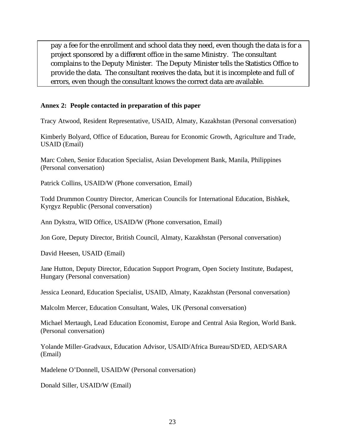pay a fee for the enrollment and school data they need, even though the data is for a project sponsored by a different office in the same Ministry. The consultant complains to the Deputy Minister. The Deputy Minister tells the Statistics Office to provide the data. The consultant receives the data, but it is incomplete and full of errors, even though the consultant knows the correct data are available.

## **Annex 2: People contacted in preparation of this paper**

Tracy Atwood, Resident Representative, USAID, Almaty, Kazakhstan (Personal conversation)

Kimberly Bolyard, Office of Education, Bureau for Economic Growth, Agriculture and Trade, USAID (Email)

Marc Cohen, Senior Education Specialist, Asian Development Bank, Manila, Philippines (Personal conversation)

Patrick Collins, USAID/W (Phone conversation, Email)

Todd Drummon Country Director, American Councils for International Education, Bishkek, Kyrgyz Republic (Personal conversation)

Ann Dykstra, WID Office, USAID/W (Phone conversation, Email)

Jon Gore, Deputy Director, British Council, Almaty, Kazakhstan (Personal conversation)

David Heesen, USAID (Email)

Jane Hutton, Deputy Director, Education Support Program, Open Society Institute, Budapest, Hungary (Personal conversation)

Jessica Leonard, Education Specialist, USAID, Almaty, Kazakhstan (Personal conversation)

Malcolm Mercer, Education Consultant, Wales, UK (Personal conversation)

Michael Mertaugh, Lead Education Economist, Europe and Central Asia Region, World Bank. (Personal conversation)

Yolande Miller-Gradvaux, Education Advisor, USAID/Africa Bureau/SD/ED, AED/SARA (Email)

Madelene O'Donnell, USAID/W (Personal conversation)

Donald Siller, USAID/W (Email)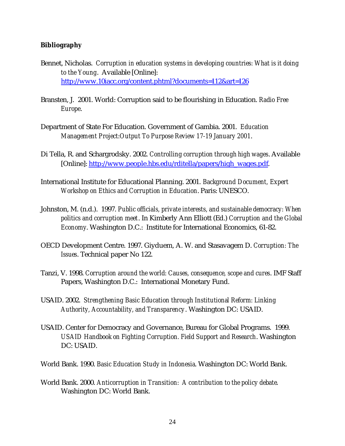## **Bibliography**

- Bennet, Nicholas. *Corruption in education systems in developing countries: What is it doing to the Young*. Available [Online]: http://www.10iacc.org/content.phtml?documents=112&art=126
- Bransten, J. 2001. World: Corruption said to be flourishing in Education. *Radio Free Europe*.
- Department of State For Education. Government of Gambia. 2001. *Education Management Project:Output To Purpose Review 17-19 January 2001*.
- Di Tella, R. and Schargrodsky. 2002. *Controlling corruption through high wages*. Available [Online]: http://www.people.hbs.edu/rditella/papers/high\_wages.pdf.
- International Institute for Educational Planning. 2001. *Background Document, Expert Workshop on Ethics and Corruption in Education*. Paris: UNESCO.
- Johnston, M. (n.d.). 1997. *Public officials, private interests, and sustainable democracy: When politics and corruption meet*. In Kimberly Ann Elliott (Ed.) *Corruption and the Global Economy*. Washington D.C.: Institute for International Economics, 61-82.
- OECD Development Centre. 1997. Giyduem, A. W. and Stasavagem D. *Corruption: The Issues*. Technical paper No 122.
- Tanzi, V. 1998. *Corruption around the world: Causes, consequence, scope and cures*. IMF Staff Papers, Washington D.C.: International Monetary Fund.
- USAID. 2002. *Strengthening Basic Education through Institutional Reform: Linking Authority, Accountability, and Transparency*. Washington DC: USAID.
- USAID. Center for Democracy and Governance, Bureau for Global Programs. 1999. *USAID Handbook on Fighting Corruption. Field Support and Research*. Washington DC: USAID.
- World Bank. 1990. *Basic Education Study in Indonesia*. Washington DC: World Bank.
- World Bank. 2000. *Anticorruption in Transition: A contribution to the policy debate*. Washington DC: World Bank.